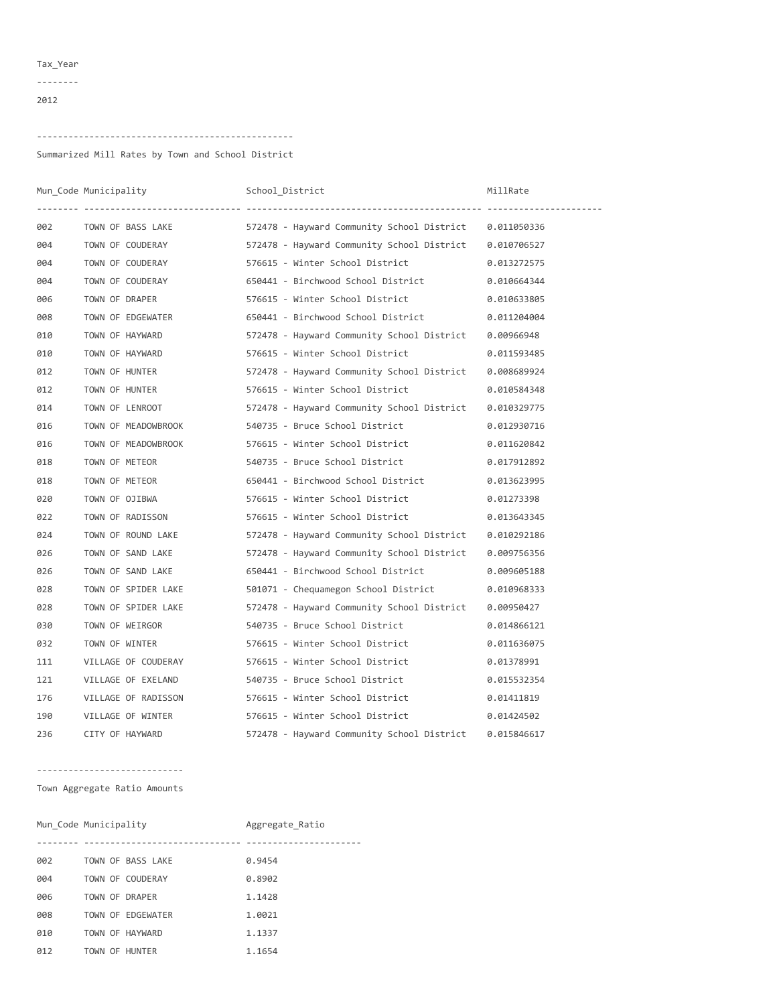## Tax\_Year ‐‐‐‐‐‐‐‐

## ‐‐‐‐‐‐‐‐‐‐‐‐‐‐‐‐‐‐‐‐‐‐‐‐‐‐‐‐‐‐‐‐‐‐‐‐‐‐‐‐‐‐‐‐‐‐‐‐‐

Summarized Mill Rates by Town and School District

|     | Mun_Code Municipality | School District                                                          | MillRate    |
|-----|-----------------------|--------------------------------------------------------------------------|-------------|
| 002 |                       | TOWN OF BASS LAKE 572478 - Hayward Community School District 0.011050336 |             |
| 004 |                       | TOWN OF COUDERAY 572478 - Hayward Community School District 0.010706527  |             |
| 004 | TOWN OF COUDERAY      | 576615 - Winter School District                                          | 0.013272575 |
| 004 | TOWN OF COUDERAY      | 650441 - Birchwood School District 0.010664344                           |             |
| 006 | TOWN OF DRAPER        | 576615 - Winter School District                                          | 0.010633805 |
| 008 | TOWN OF EDGEWATER     | 650441 - Birchwood School District                                       | 0.011204004 |
| 010 | TOWN OF HAYWARD       | 572478 - Hayward Community School District 0.00966948                    |             |
| 010 | TOWN OF HAYWARD       | 576615 - Winter School District                                          | 0.011593485 |
| 012 | TOWN OF HUNTER        | 572478 - Hayward Community School District                               | 0.008689924 |
| 012 | TOWN OF HUNTER        | 576615 - Winter School District                                          | 0.010584348 |
| 014 | TOWN OF LENROOT       | 572478 - Hayward Community School District 0.010329775                   |             |
| 016 | TOWN OF MEADOWBROOK   | 540735 - Bruce School District                                           | 0.012930716 |
| 016 | TOWN OF MEADOWBROOK   | 576615 - Winter School District                                          | 0.011620842 |
| 018 | TOWN OF METEOR        | 540735 - Bruce School District 6.017912892                               |             |
| 018 | TOWN OF METEOR        | 650441 - Birchwood School District 0.013623995                           |             |
| 020 | TOWN OF OJIBWA        | 576615 - Winter School District                                          | 0.01273398  |
| 022 | TOWN OF RADISSON      | 576615 - Winter School District                                          | 0.013643345 |
| 024 | TOWN OF ROUND LAKE    | 572478 - Hayward Community School District 0.010292186                   |             |
| 026 | TOWN OF SAND LAKE     | 572478 - Hayward Community School District 0.009756356                   |             |
| 026 | TOWN OF SAND LAKE     | 650441 - Birchwood School District                                       | 0.009605188 |
| 028 | TOWN OF SPIDER LAKE   | 501071 - Chequamegon School District                                     | 0.010968333 |
| 028 | TOWN OF SPIDER LAKE   | 572478 - Hayward Community School District                               | 0.00950427  |
| 030 | TOWN OF WEIRGOR       | 540735 - Bruce School District                                           | 0.014866121 |
| 032 | TOWN OF WINTER        | 576615 - Winter School District                                          | 0.011636075 |
| 111 | VILLAGE OF COUDERAY   | 576615 - Winter School District                                          | 0.01378991  |
| 121 | VILLAGE OF EXELAND    | 540735 - Bruce School District                                           | 0.015532354 |
| 176 | VILLAGE OF RADISSON   | 576615 - Winter School District                                          | 0.01411819  |
| 190 | VILLAGE OF WINTER     | 576615 - Winter School District                                          | 0.01424502  |
| 236 | CITY OF HAYWARD       | 572478 - Hayward Community School District                               | 0.015846617 |

## ‐‐‐‐‐‐‐‐‐‐‐‐‐‐‐‐‐‐‐‐‐‐‐‐‐‐‐‐

Town Aggregate Ratio Amounts

|     | Mun Code Municipality | Aggregate Ratio |
|-----|-----------------------|-----------------|
|     |                       |                 |
| 002 | TOWN OF BASS LAKE     | 0.9454          |
| 004 | TOWN OF COUDERAY      | 0.8902          |
| 006 | TOWN OF DRAPER        | 1.1428          |
| 008 | TOWN OF EDGEWATER     | 1.0021          |
| 010 | TOWN OF HAYWARD       | 1.1337          |
| 012 | TOWN OF HUNTER        | 1.1654          |